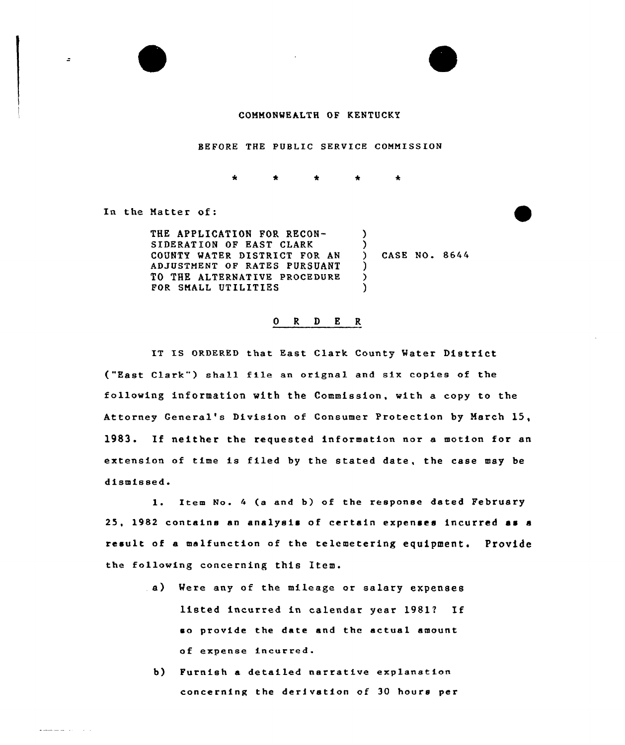

BEFORE THE PUBLIC SERVICE COMMISSION

 $\mathbf{k}$ 

In the Natter of:

ż,

الأراد المتستعد

| THE APPLICATION FOR RECON-                   |  |  |
|----------------------------------------------|--|--|
| SIDERATION OF EAST CLARK                     |  |  |
| COUNTY WATER DISTRICT FOR AN ) CASE NO. 8644 |  |  |
| ADJUSTMENT OF RATES PURSUANT                 |  |  |
| TO THE ALTERNATIVE PROCEDURE                 |  |  |
| FOR SMALL UTILITIES                          |  |  |

## 0 R <sup>D</sup> E R

IT IS ORDERED that East Clark County Water District ("East Clark") shall file an orignal and six copies of the following information with the Commission, with a copy to the Attorney General's Division of Consumer Protection by Narch 15, 1983. If neither the requested information nor <sup>a</sup> motion for an extension of time is filed by the stated date, the case may be dismissed.

1. Item No. 4 (a and b) of the response dated February 25, 1982 contains an analysis of certain expenses incurred as <sup>a</sup> result of a malfunction of the telemetering equipment. Provide the following concerning this Item.

- a} Mere any of the mileage or salary expenses listed incurred in calendar year 19817 If so provide the date and the actual amount of expense incurred.
	- b) Furnish a detailed narrative explanation concerning the derivation of 30 hours per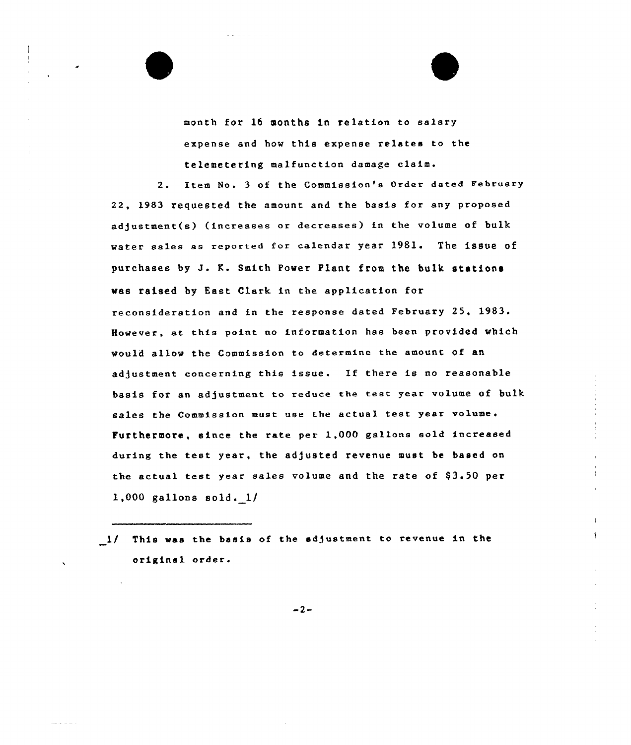month for 16 months in relation to salary expense and how this expense relates to the telemetering malfunction damage claim.

2. Item No. 3 of the Commission's Order dated February 22, 1983 requested the amount and the basis for any proposed adjustment(e) (increases or decreases) in the volume of bulk water sales as reported for calendar year 1981. The issue of purchases by J. K. Smith Power Plant from the bulk stations was raised by East Clark in the application for reconsideration and in the response dated February 25, 1983. However, at this point no information has been provided which would allow the Commission to determine the amount of an adjustment concerning this issue. Ef there is no reasonable basis for an adjustment to reduce the test year volume of bulk sales the Commission must use the actual test year volume. Furthermore, since the rate per l,OOQ gallons sold increased during the test year, the adjusted revenue must be based on the actual test year sales volume and the rate of  $$3.50~$  per 1,000 gallons sold. 1/

1/ This was the basis of the adjustment to revenue in the original order

 $-2-$